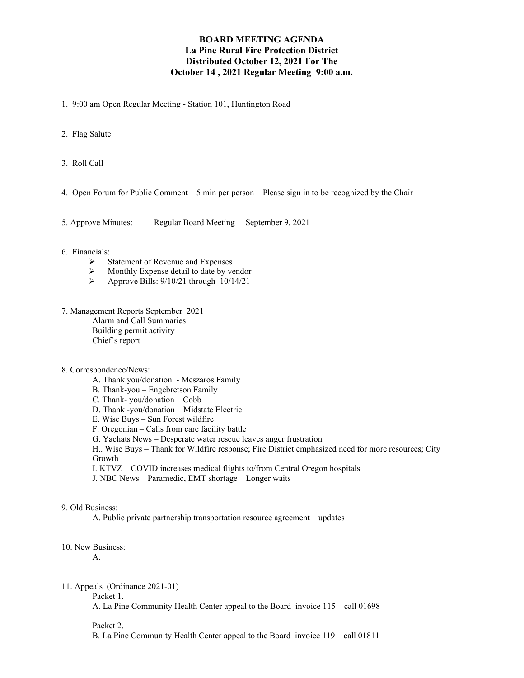# **BOARD MEETING AGENDA La Pine Rural Fire Protection District Distributed October 12, 2021 For The October 14 , 2021 Regular Meeting 9:00 a.m.**

- 1. 9:00 am Open Regular Meeting Station 101, Huntington Road
- 2. Flag Salute
- 3. Roll Call
- 4. Open Forum for Public Comment 5 min per person Please sign in to be recognized by the Chair
- 5. Approve Minutes: Regular Board Meeting September 9, 2021
- 6. Financials:
	- $\triangleright$  Statement of Revenue and Expenses
	- $\triangleright$  Monthly Expense detail to date by vendor<br> $\triangleright$  Approve Bills: 9/10/21 through 10/14/21
	- Approve Bills: 9/10/21 through 10/14/21
- 7. Management Reports September 2021 Alarm and Call Summaries Building permit activity Chief's report
- 8. Correspondence/News:
	- A. Thank you/donation Meszaros Family
	- B. Thank-you Engebretson Family
	- C. Thank- you/donation Cobb
	- D. Thank -you/donation Midstate Electric
	- E. Wise Buys Sun Forest wildfire
	- F. Oregonian Calls from care facility battle
	- G. Yachats News Desperate water rescue leaves anger frustration

H.. Wise Buys – Thank for Wildfire response; Fire District emphasized need for more resources; City Growth

- I. KTVZ COVID increases medical flights to/from Central Oregon hospitals
- J. NBC News Paramedic, EMT shortage Longer waits

## 9. Old Business:

A. Public private partnership transportation resource agreement – updates

10. New Business:

A.

11. Appeals (Ordinance 2021-01)

Packet 1.

A. La Pine Community Health Center appeal to the Board invoice 115 – call 01698

#### Packet 2.

B. La Pine Community Health Center appeal to the Board invoice 119 – call 01811